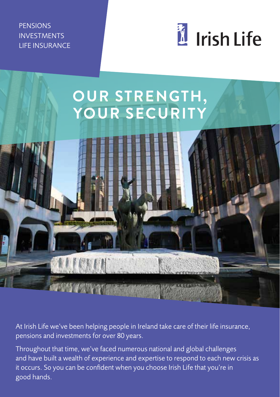**PENSIONS** INVESTMENTS LIFE INSURANCE



# **OUR STRENGTH, YOUR SECURITY**

At Irish Life we've been helping people in Ireland take care of their life insurance, pensions and investments for over 80 years.

Throughout that time, we've faced numerous national and global challenges and have built a wealth of experience and expertise to respond to each new crisis as it occurs. So you can be confident when you choose Irish Life that you're in good hands.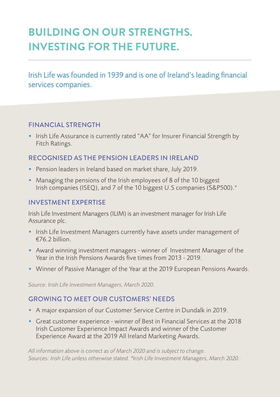# **BUILDING ON OUR STRENGTHS. INVESTING FOR THE FUTURE.**

Irish Life was founded in 1939 and is one of Ireland's leading financial services companies.

#### FINANCIAL STRENGTH

• Irish Life Assurance is currently rated "AA" for Insurer Financial Strength by Fitch Ratings.

#### RECOGNISED AS THE PENSION LEADERS IN IRELAND

- Pension leaders in Ireland based on market share, July 2019.
- Managing the pensions of the Irish employees of 8 of the 10 biggest Irish companies (ISEQ), and 7 of the 10 biggest U.S companies (S&P500).\*

#### INVESTMENT EXPERTISE

Irish Life Investment Managers (ILIM) is an investment manager for Irish Life Assurance plc.

- Irish Life Investment Managers currently have assets under management of €76.2 billion.
- Award winning investment managers winner of Investment Manager of the Year in the Irish Pensions Awards five times from 2013 - 2019.
- Winner of Passive Manager of the Year at the 2019 European Pensions Awards.

*Source: Irish Life Investment Managers, March 2020.* 

#### GROWING TO MEET OUR CUSTOMERS' NEEDS

- A major expansion of our Customer Service Centre in Dundalk in 2019.
- Great customer experience winner of Best in Financial Services at the 2018 Irish Customer Experience Impact Awards and winner of the Customer Experience Award at the 2019 All Ireland Marketing Awards.

*All information above is correct as of March 2020 and is subject to change. Sources: Irish Life unless otherwise stated. \*Irish Life Investment Managers, March 2020..*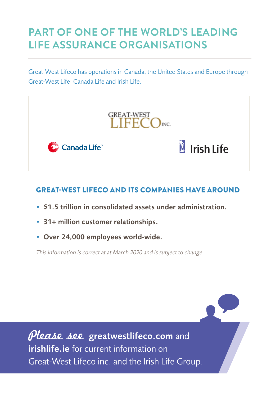# **PART OF ONE OF THE WORLD'S LEADING LIFE ASSURANCE ORGANISATIONS**

Great-West Lifeco has operations in Canada, the United States and Europe through Great-West Life, Canada Life and Irish Life.



#### GREAT-WEST LIFECO AND ITS COMPANIES HAVE AROUND

- \$1.5 trillion in consolidated assets under administration.
- 31+ million customer relationships.
- Over 24,000 employees world-wide.

*This information is correct at at March 2020 and is subject to change.*

Please see greatwestlifeco.com and **irishlife.ie** for current information on Great-West Lifeco inc. and the Irish Life Group.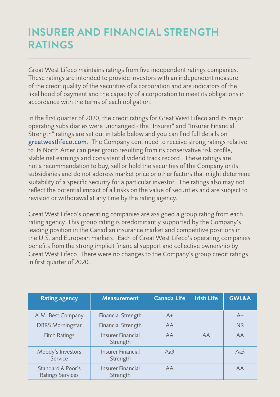# **INSURER AND FINANCIAL STRENGTH RATINGS**

Great West Lifeco maintains ratings from five independent ratings companies. These ratings are intended to provide investors with an independent measure of the credit quality of the securities of a corporation and are indicators of the likelihood of payment and the capacity of a corporation to meet its obligations in accordance with the terms of each obligation.

In the first quarter of 2020, the credit ratings for Great West Lifeco and its major operating subsidiaries were unchanged - the "Insurer" and "Insurer Financial Strength" ratings are set out in table below and you can find full details on greatwestlifeco.com. The Company continued to receive strong ratings relative to its North American peer group resulting from its conservative risk profile, stable net earnings and consistent dividend track record. These ratings are not a recommendation to buy, sell or hold the securities of the Company or its subsidiaries and do not address market price or other factors that might determine suitability of a specific security for a particular investor. The ratings also may not reflect the potential impact of all risks on the value of securities and are subject to revision or withdrawal at any time by the rating agency.

Great West Lifeco's operating companies are assigned a group rating from each rating agency. This group rating is predominantly supported by the Company's leading position in the Canadian insurance market and competitive positions in the U.S. and European markets. Each of Great West Lifeco's operating companies benefits from the strong implicit financial support and collective ownership by Great West Lifeco. There were no changes to the Company's group credit ratings in first quarter of 2020.

| <b>Rating agency</b>                         | <b>Measurement</b>                   | <b>Canada Life</b> | <b>Irish Life</b> | <b>GWL&amp;A</b> |
|----------------------------------------------|--------------------------------------|--------------------|-------------------|------------------|
| A.M. Best Company                            | <b>Financial Strength</b>            | $A+$               |                   | $A+$             |
| <b>DBRS Morningstar</b>                      | <b>Financial Strength</b>            | AA                 |                   | <b>NR</b>        |
| <b>Fitch Ratings</b>                         | Insurer Financial<br>Strength        | AA                 | AA                | AA               |
| Moody's Investors<br>Service                 | <b>Insurer Financial</b><br>Strength | Aa3                |                   | Aa3              |
| Standard & Poor's<br><b>Ratings Services</b> | <b>Insurer Financial</b><br>Strength | AA                 |                   | AA               |